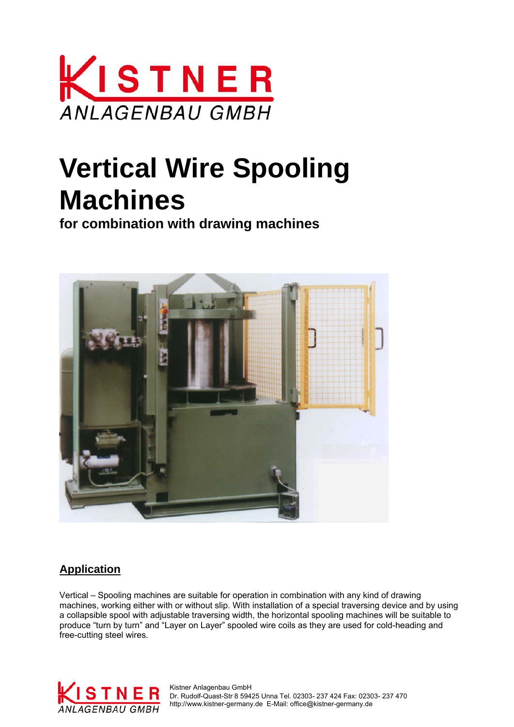

# **Vertical Wire Spooling Machines**

**for combination with drawing machines**



### **Application**

Vertical – Spooling machines are suitable for operation in combination with any kind of drawing machines, working either with or without slip. With installation of a special traversing device and by using a collapsible spool with adjustable traversing width, the horizontal spooling machines will be suitable to produce "turn by turn" and "Layer on Layer" spooled wire coils as they are used for cold-heading and free-cutting steel wires.



 Dr. Rudolf-Quast-Str 8 59425 Unna Tel. 02303- 237 424 Fax: 02303- 237 470 ANLAGENBAU GMBH http://www.kistner-germany.de E-Mail: office@kistner-germany.de